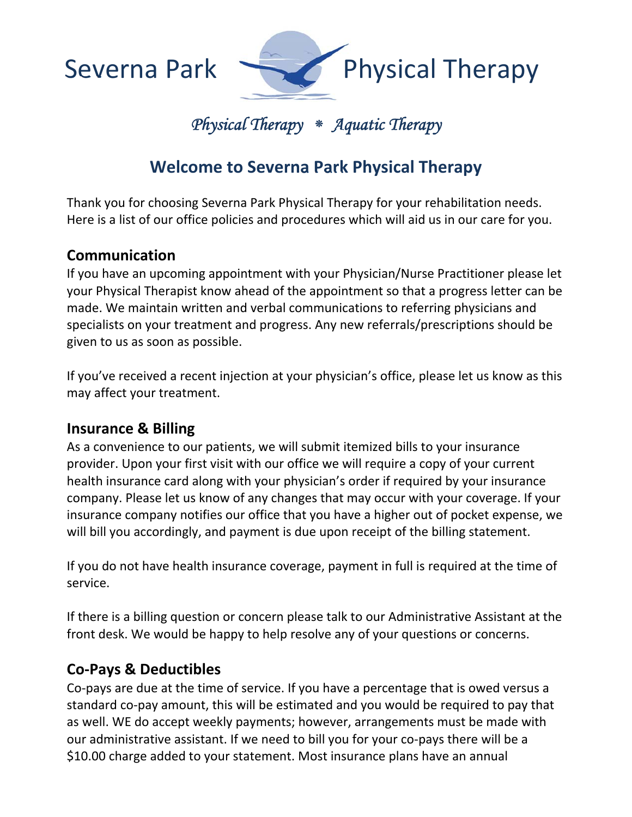

# *Physical Therapy* **⁕** *Aquatic Therapy*

# **Welcome to Severna Park Physical Therapy**

Thank you for choosing Severna Park Physical Therapy for your rehabilitation needs. Here is a list of our office policies and procedures which will aid us in our care for you.

### **Communication**

If you have an upcoming appointment with your Physician/Nurse Practitioner please let your Physical Therapist know ahead of the appointment so that a progress letter can be made. We maintain written and verbal communications to referring physicians and specialists on your treatment and progress. Any new referrals/prescriptions should be given to us as soon as possible.

If you've received a recent injection at your physician's office, please let us know as this may affect your treatment.

#### **Insurance & Billing**

As a convenience to our patients, we will submit itemized bills to your insurance provider. Upon your first visit with our office we will require a copy of your current health insurance card along with your physician's order if required by your insurance company. Please let us know of any changes that may occur with your coverage. If your insurance company notifies our office that you have a higher out of pocket expense, we will bill you accordingly, and payment is due upon receipt of the billing statement.

If you do not have health insurance coverage, payment in full is required at the time of service.

If there is a billing question or concern please talk to our Administrative Assistant at the front desk. We would be happy to help resolve any of your questions or concerns.

### **Co‐Pays & Deductibles**

Co‐pays are due at the time of service. If you have a percentage that is owed versus a standard co‐pay amount, this will be estimated and you would be required to pay that as well. WE do accept weekly payments; however, arrangements must be made with our administrative assistant. If we need to bill you for your co‐pays there will be a \$10.00 charge added to your statement. Most insurance plans have an annual